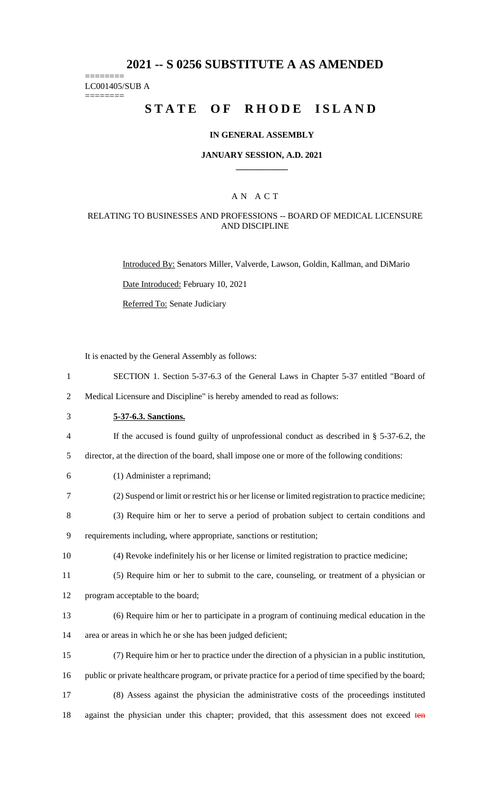# **2021 -- S 0256 SUBSTITUTE A AS AMENDED**

======== LC001405/SUB A

========

# **STATE OF RHODE ISLAND**

#### **IN GENERAL ASSEMBLY**

#### **JANUARY SESSION, A.D. 2021 \_\_\_\_\_\_\_\_\_\_\_\_**

## A N A C T

#### RELATING TO BUSINESSES AND PROFESSIONS -- BOARD OF MEDICAL LICENSURE AND DISCIPLINE

Introduced By: Senators Miller, Valverde, Lawson, Goldin, Kallman, and DiMario

Date Introduced: February 10, 2021

Referred To: Senate Judiciary

It is enacted by the General Assembly as follows:

1 SECTION 1. Section 5-37-6.3 of the General Laws in Chapter 5-37 entitled "Board of

2 Medical Licensure and Discipline" is hereby amended to read as follows:

- 3 **5-37-6.3. Sanctions.**
- 4 If the accused is found guilty of unprofessional conduct as described in § 5-37-6.2, the
- 5 director, at the direction of the board, shall impose one or more of the following conditions:
- 6 (1) Administer a reprimand;
- 7 (2) Suspend or limit or restrict his or her license or limited registration to practice medicine;
- 8 (3) Require him or her to serve a period of probation subject to certain conditions and 9 requirements including, where appropriate, sanctions or restitution;
- 10 (4) Revoke indefinitely his or her license or limited registration to practice medicine;
- 11 (5) Require him or her to submit to the care, counseling, or treatment of a physician or
- 12 program acceptable to the board;
- 13 (6) Require him or her to participate in a program of continuing medical education in the 14 area or areas in which he or she has been judged deficient;
- 15 (7) Require him or her to practice under the direction of a physician in a public institution, 16 public or private healthcare program, or private practice for a period of time specified by the board;
- 17 (8) Assess against the physician the administrative costs of the proceedings instituted 18 against the physician under this chapter; provided, that this assessment does not exceed ten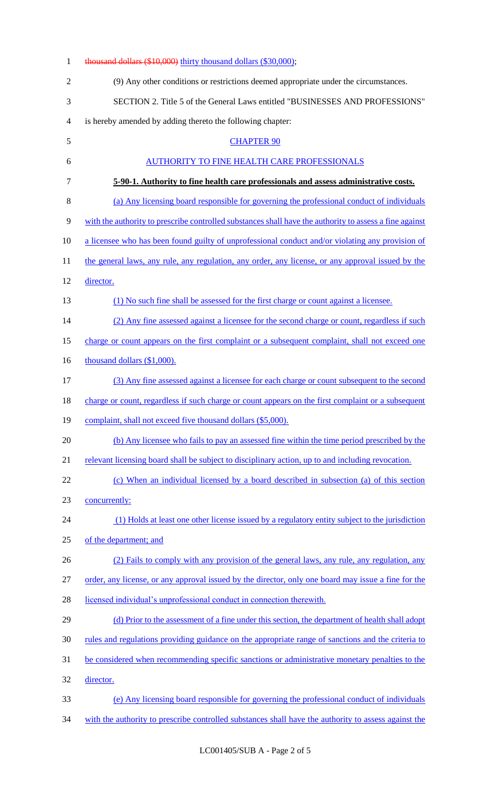| $\mathbf{1}$   | thousand dollars (\$10,000) thirty thousand dollars (\$30,000);                                         |
|----------------|---------------------------------------------------------------------------------------------------------|
| $\overline{2}$ | (9) Any other conditions or restrictions deemed appropriate under the circumstances.                    |
| 3              | SECTION 2. Title 5 of the General Laws entitled "BUSINESSES AND PROFESSIONS"                            |
| 4              | is hereby amended by adding thereto the following chapter:                                              |
| 5              | <b>CHAPTER 90</b>                                                                                       |
| 6              | <b>AUTHORITY TO FINE HEALTH CARE PROFESSIONALS</b>                                                      |
| 7              | 5-90-1. Authority to fine health care professionals and assess administrative costs.                    |
| $8\,$          | (a) Any licensing board responsible for governing the professional conduct of individuals               |
| 9              | with the authority to prescribe controlled substances shall have the authority to assess a fine against |
| 10             | a licensee who has been found guilty of unprofessional conduct and/or violating any provision of        |
| 11             | the general laws, any rule, any regulation, any order, any license, or any approval issued by the       |
| 12             | director.                                                                                               |
| 13             | (1) No such fine shall be assessed for the first charge or count against a licensee.                    |
| 14             | (2) Any fine assessed against a licensee for the second charge or count, regardless if such             |
| 15             | charge or count appears on the first complaint or a subsequent complaint, shall not exceed one          |
| 16             | thousand dollars (\$1,000).                                                                             |
| 17             | (3) Any fine assessed against a licensee for each charge or count subsequent to the second              |
| 18             | charge or count, regardless if such charge or count appears on the first complaint or a subsequent      |
| 19             | complaint, shall not exceed five thousand dollars (\$5,000).                                            |
| 20             | (b) Any licensee who fails to pay an assessed fine within the time period prescribed by the             |
| 21             | relevant licensing board shall be subject to disciplinary action, up to and including revocation.       |
| 22             | (c) When an individual licensed by a board described in subsection (a) of this section                  |
| 23             | concurrently:                                                                                           |
| 24             | (1) Holds at least one other license issued by a regulatory entity subject to the jurisdiction          |
| 25             | of the department; and                                                                                  |
| 26             | (2) Fails to comply with any provision of the general laws, any rule, any regulation, any               |
| 27             | order, any license, or any approval issued by the director, only one board may issue a fine for the     |
| 28             | licensed individual's unprofessional conduct in connection therewith.                                   |
| 29             | (d) Prior to the assessment of a fine under this section, the department of health shall adopt          |
| 30             | rules and regulations providing guidance on the appropriate range of sanctions and the criteria to      |
| 31             | be considered when recommending specific sanctions or administrative monetary penalties to the          |
| 32             | director.                                                                                               |
| 33             | (e) Any licensing board responsible for governing the professional conduct of individuals               |
| 34             | with the authority to prescribe controlled substances shall have the authority to assess against the    |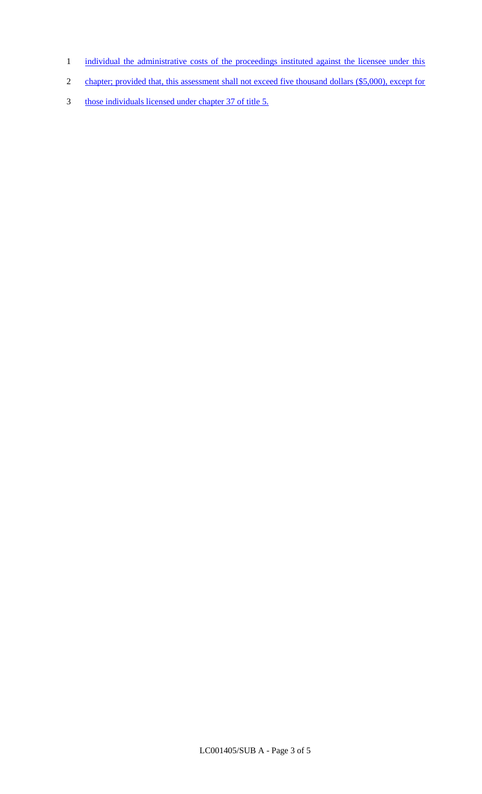- 1 individual the administrative costs of the proceedings instituted against the licensee under this
- 2 chapter; provided that, this assessment shall not exceed five thousand dollars (\$5,000), except for
- 3 those individuals licensed under chapter 37 of title 5.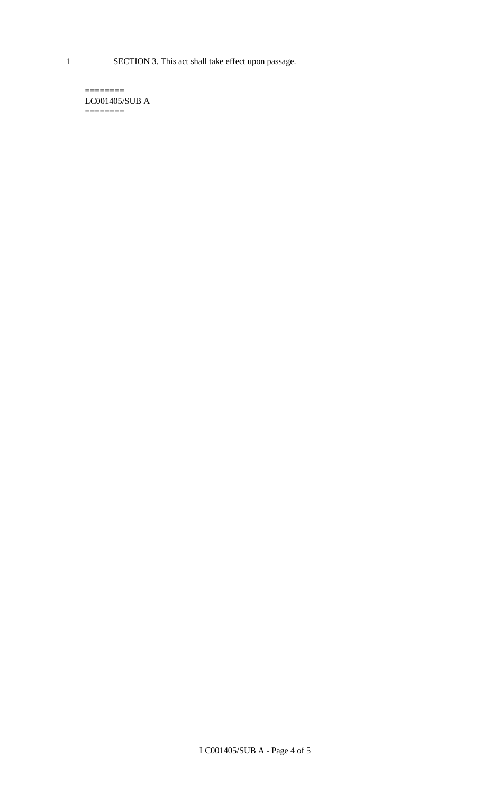1 SECTION 3. This act shall take effect upon passage.

LC001405/SUB A  $=$ 

 $=$